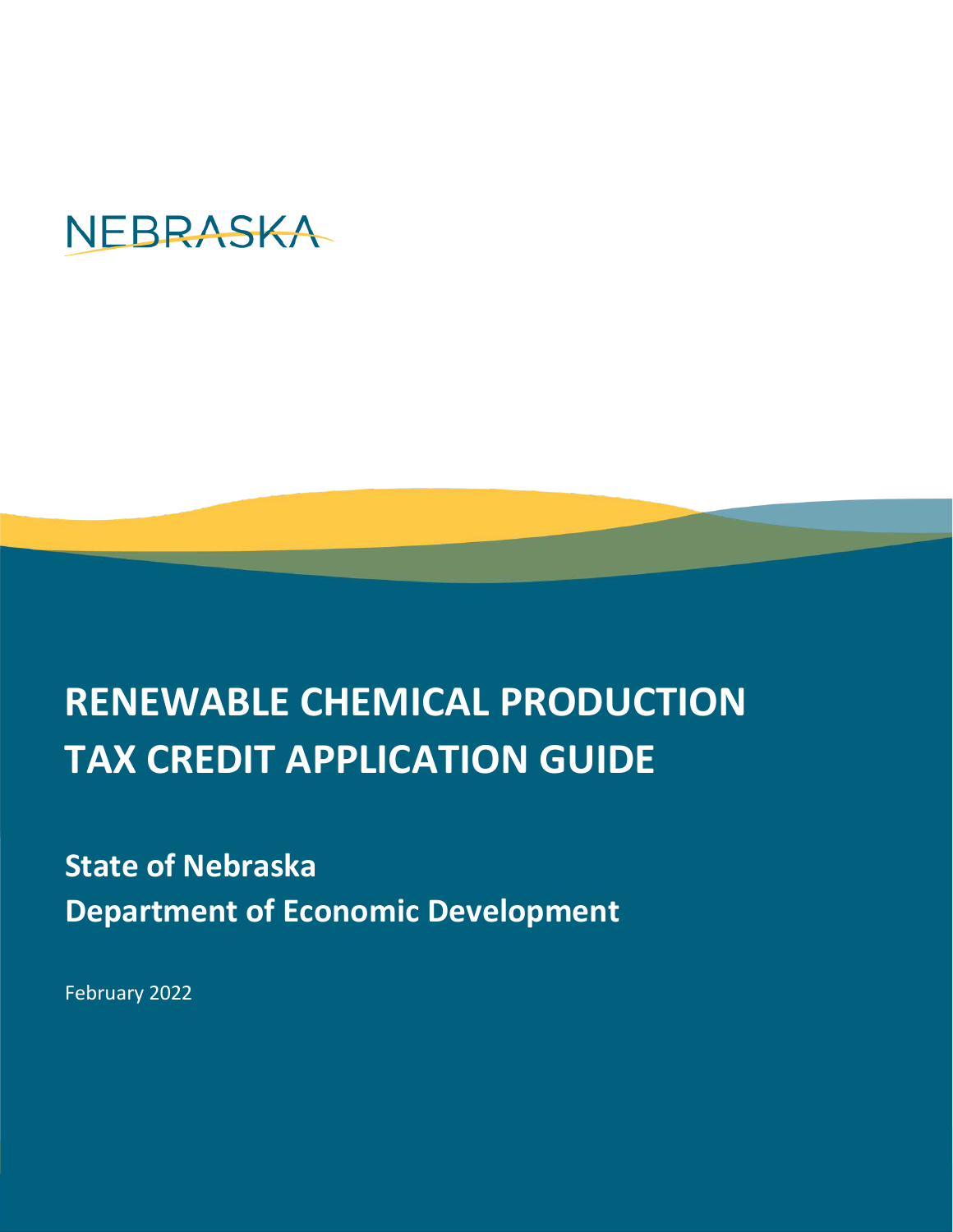

# **RENEWABLE CHEMICAL PRODUCTION TAX CREDIT APPLICATION GUIDE**

**State of Nebraska Department of Economic Development**

February 2022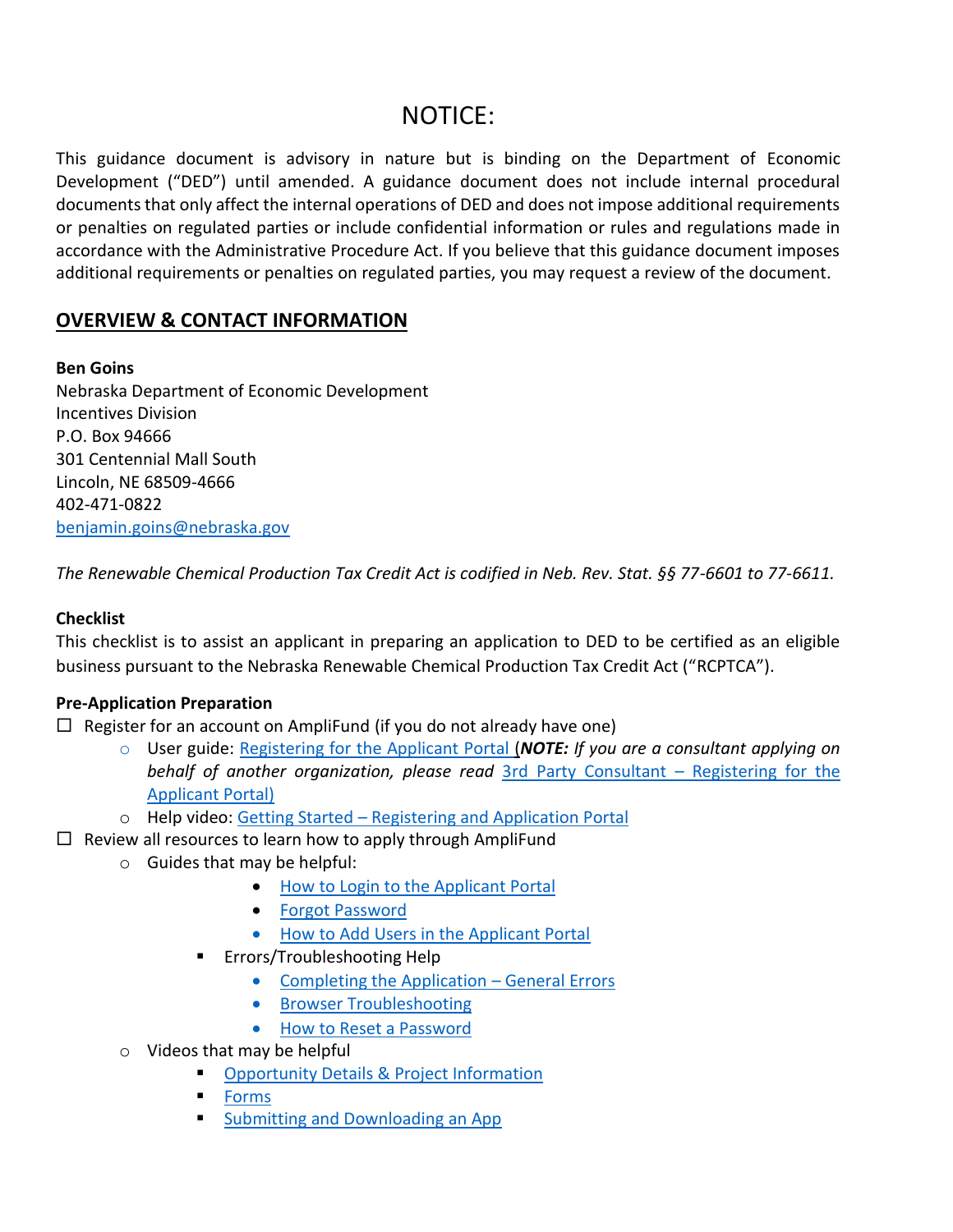# NOTICE:

This guidance document is advisory in nature but is binding on the Department of Economic Development ("DED") until amended. A guidance document does not include internal procedural documents that only affect the internal operations of DED and does not impose additional requirements or penalties on regulated parties or include confidential information or rules and regulations made in accordance with the Administrative Procedure Act. If you believe that this guidance document imposes additional requirements or penalties on regulated parties, you may request a review of the document.

# **OVERVIEW & CONTACT INFORMATION**

#### **Ben Goins**

Nebraska Department of Economic Development Incentives Division P.O. Box 94666 301 Centennial Mall South Lincoln, NE 68509-4666 402-471-0822 [benjamin.goins@nebraska.gov](mailto:benjamin.goins@nebraska.gov)

*The Renewable Chemical Production Tax Credit Act is codified in Neb. Rev. Stat. §§ 77-6601 to 77-6611.*

#### **Checklist**

This checklist is to assist an applicant in preparing an application to DED to be certified as an eligible business pursuant to the Nebraska Renewable Chemical Production Tax Credit Act ("RCPTCA").

#### **Pre-Application Preparation**

 $\Box$  Register for an account on AmpliFund (if you do not already have one)

- o User guide: [Registering for the Applicant Portal](https://opportunity.nebraska.gov/wp-content/uploads/2022/02/Registering-for-the-Applicant-Portal.pdf) (*NOTE: If you are a consultant applying on behalf of another organization, please read* [3rd Party Consultant](https://opportunity.nebraska.gov/wp-content/uploads/2022/02/Registering-for-the-Applicant-Portal-3rd-Party-Consultant-1.pdf) – Registering for the [Applicant Portal\)](https://opportunity.nebraska.gov/wp-content/uploads/2022/02/Registering-for-the-Applicant-Portal-3rd-Party-Consultant-1.pdf)
- o Help video: Getting Started [Registering and Application Portal](https://youtu.be/6xeY85Q5S1U)
- $\Box$  Review all resources to learn how to apply through AmpliFund
	- o Guides that may be helpful:
		- [How to Login to the Applicant Portal](https://opportunity.nebraska.gov/wp-content/uploads/2022/02/How-to-Login-to-the-Applicant-Portal.pdf)
		- [Forgot Password](https://opportunity.nebraska.gov/wp-content/uploads/2022/02/Forgot_Password_v3_20211102.pdf)
		- [How to Add Users in the Applicant Portal](https://opportunity.nebraska.gov/wp-content/uploads/2022/02/How-to-Add-Users-in-the-Applicant-Portal.pdf)
		- Errors/Troubleshooting Help
			- [Completing the Application](https://opportunity.nebraska.gov/wp-content/uploads/2022/02/Completing-The-Application-General-Errors.pdf)  General Errors
			- [Browser Troubleshooting](https://opportunity.nebraska.gov/wp-content/uploads/2022/02/Browser-Troubleshooting.pdf)
			- [How to Reset a Password](https://youtu.be/eos0-x1c6Zg)
	- o Videos that may be helpful
		- **[Opportunity Details & Project Information](https://youtu.be/SplyClS_Mxw)**
		- [Forms](https://youtu.be/J1ktTe_2mDg)
		- [Submitting and Downloading an App](https://youtu.be/6KU0FYNI5uU)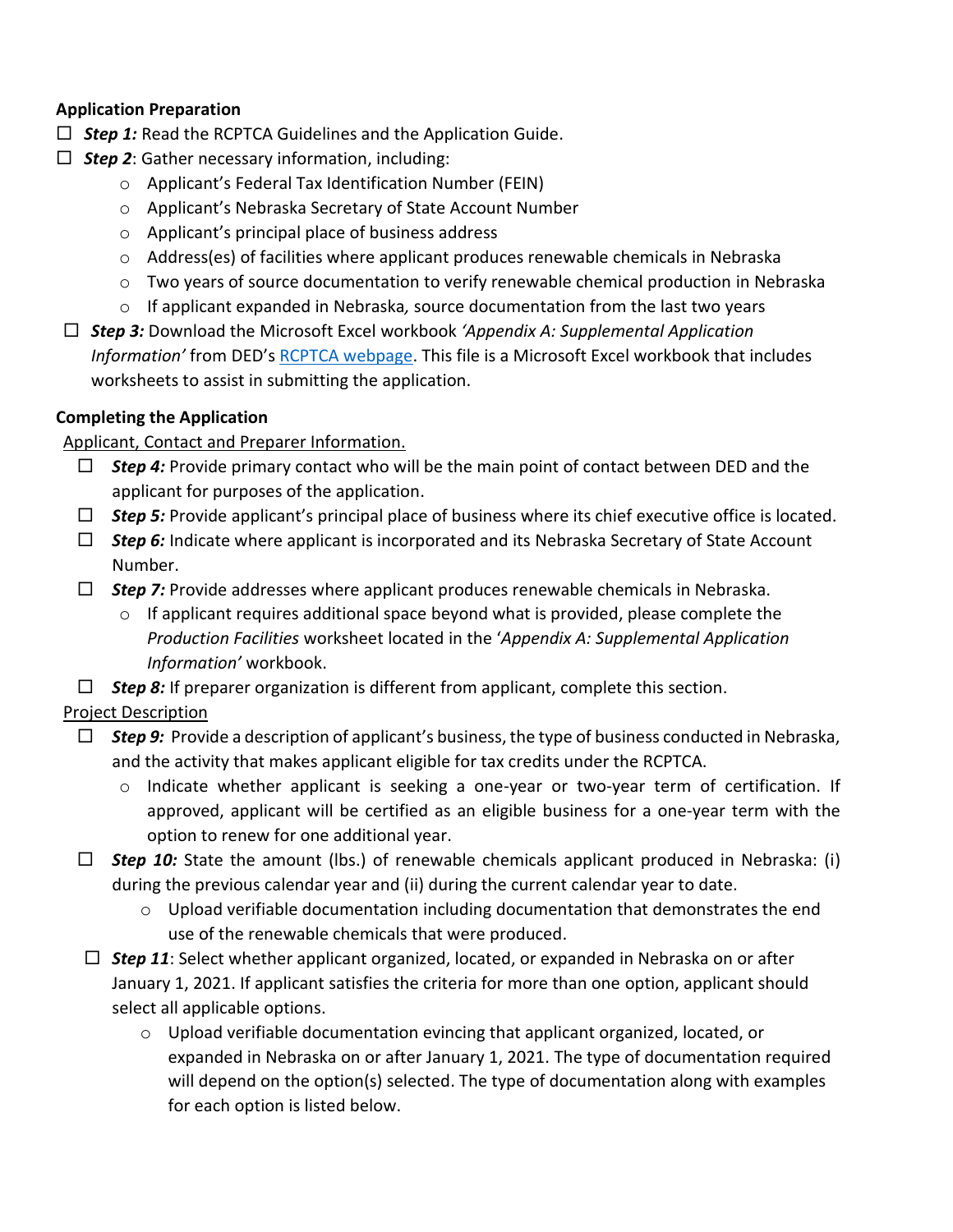#### **Application Preparation**

- $\Box$  **Step 1:** Read the RCPTCA Guidelines and the Application Guide.
- *Step 2*: Gather necessary information, including:
	- o Applicant's Federal Tax Identification Number (FEIN)
	- o Applicant's Nebraska Secretary of State Account Number
	- o Applicant's principal place of business address
	- $\circ$  Address(es) of facilities where applicant produces renewable chemicals in Nebraska
	- o Two years of source documentation to verify renewable chemical production in Nebraska
	- o If applicant expanded in Nebraska*,* source documentation from the last two years
- *Step 3:* Download the Microsoft Excel workbook *'Appendix A: Supplemental Application Information'* from DED's [RCPTCA webpage.](https://opportunity.nebraska.gov/programs/incentives/renewable-chemical-production/) This file is a Microsoft Excel workbook that includes worksheets to assist in submitting the application.

# **Completing the Application**

# Applicant, Contact and Preparer Information.

- □ **Step 4:** Provide primary contact who will be the main point of contact between DED and the applicant for purposes of the application.
- *Step 5:* Provide applicant's principal place of business where its chief executive office is located.
- *Step 6:* Indicate where applicant is incorporated and its Nebraska Secretary of State Account Number.
- *Step 7:* Provide addresses where applicant produces renewable chemicals in Nebraska.
	- $\circ$  If applicant requires additional space beyond what is provided, please complete the *Production Facilities* worksheet located in the '*Appendix A: Supplemental Application Information'* workbook.
- $\Box$  **Step 8:** If preparer organization is different from applicant, complete this section.

# Project Description

- *Step 9:* Provide a description of applicant's business, the type of business conducted in Nebraska, and the activity that makes applicant eligible for tax credits under the RCPTCA.
	- o Indicate whether applicant is seeking a one-year or two-year term of certification. If approved, applicant will be certified as an eligible business for a one-year term with the option to renew for one additional year.
- *Step 10:* State the amount (lbs.) of renewable chemicals applicant produced in Nebraska: (i) during the previous calendar year and (ii) during the current calendar year to date.
	- $\circ$  Upload verifiable documentation including documentation that demonstrates the end use of the renewable chemicals that were produced.
- $\Box$  **Step 11**: Select whether applicant organized, located, or expanded in Nebraska on or after January 1, 2021. If applicant satisfies the criteria for more than one option, applicant should select all applicable options.
	- $\circ$  Upload verifiable documentation evincing that applicant organized, located, or expanded in Nebraska on or after January 1, 2021. The type of documentation required will depend on the option(s) selected. The type of documentation along with examples for each option is listed below.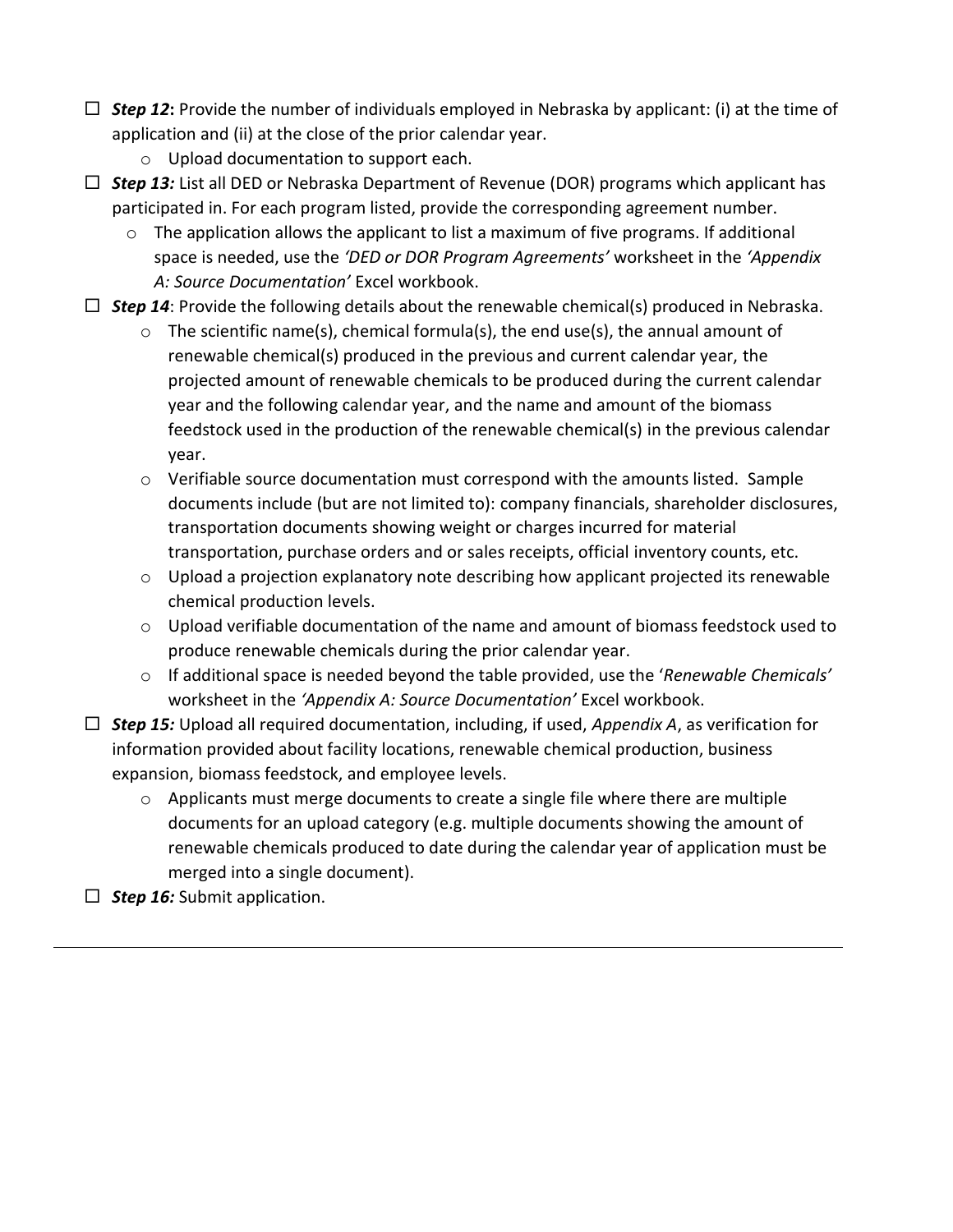- *Step 12***:** Provide the number of individuals employed in Nebraska by applicant: (i) at the time of application and (ii) at the close of the prior calendar year.
	- o Upload documentation to support each.
- *Step 13:* List all DED or Nebraska Department of Revenue (DOR) programs which applicant has participated in. For each program listed, provide the corresponding agreement number.
	- $\circ$  The application allows the applicant to list a maximum of five programs. If additional space is needed, use the *'DED or DOR Program Agreements'* worksheet in the *'Appendix A: Source Documentation'* Excel workbook.
- $\Box$  **Step 14**: Provide the following details about the renewable chemical(s) produced in Nebraska.
	- $\circ$  The scientific name(s), chemical formula(s), the end use(s), the annual amount of renewable chemical(s) produced in the previous and current calendar year, the projected amount of renewable chemicals to be produced during the current calendar year and the following calendar year, and the name and amount of the biomass feedstock used in the production of the renewable chemical(s) in the previous calendar year.
	- o Verifiable source documentation must correspond with the amounts listed. Sample documents include (but are not limited to): company financials, shareholder disclosures, transportation documents showing weight or charges incurred for material transportation, purchase orders and or sales receipts, official inventory counts, etc.
	- $\circ$  Upload a projection explanatory note describing how applicant projected its renewable chemical production levels.
	- $\circ$  Upload verifiable documentation of the name and amount of biomass feedstock used to produce renewable chemicals during the prior calendar year.
	- o If additional space is needed beyond the table provided, use the '*Renewable Chemicals'* worksheet in the *'Appendix A: Source Documentation'* Excel workbook.
- *Step 15:* Upload all required documentation, including, if used, *Appendix A*, as verification for information provided about facility locations, renewable chemical production, business expansion, biomass feedstock, and employee levels.
	- $\circ$  Applicants must merge documents to create a single file where there are multiple documents for an upload category (e.g. multiple documents showing the amount of renewable chemicals produced to date during the calendar year of application must be merged into a single document).
- *Step 16:* Submit application.